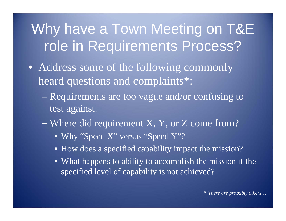## Why have a Town Meeting on T&E role in Requirements Process?

- Address some of the following commonly heard questions and complaints\*:
	- Requirements are too vague and/or confusing to test against.
	- en al control de la control de Where did requirement X, Y, or Z come from?
		- Why "Speed X" versus "Speed Y"?
		- How does a specified capability impact the mission?
		- What happens to ability to accomplish the mission if the specified level of capability is not achieved?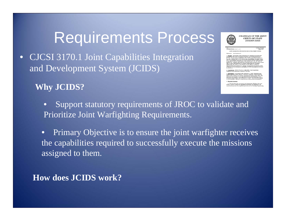#### Requirements Process

 $\bullet$  CJCSI 3170.1 Joint Capabilities Integration and Development System (JCIDS)

**Why JCIDS?**

 $\bullet$  Support statutory requirements of JROC to validate and Prioritize Joint Warfighting Requirements.

• Primary Objective is to ensure the joint warfighter receives the capabilities required to successfully execute the missions assigned to them.

**How does JCIDS work?**



CHAIRMAN OF THE JOINT **CHIEFS OF STAFF INSTRUCTION** 

.<br>**BUTION: A B O J B** OINT CAPABILITIES INTEGRATION AND DEVELOPMENT SYSTEM

. . . . .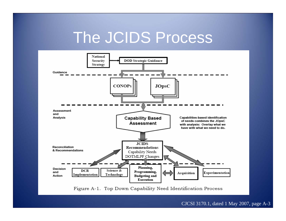## The JCIDS Process



Figure A-1. Top Down Capability Need Identification Process

CJCSI 3170.1, dated 1 May 2007, page A-3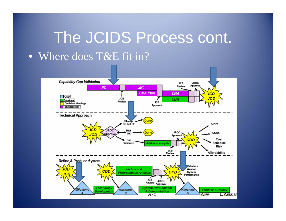# The JCIDS Process cont. • Where does T&E fit in?